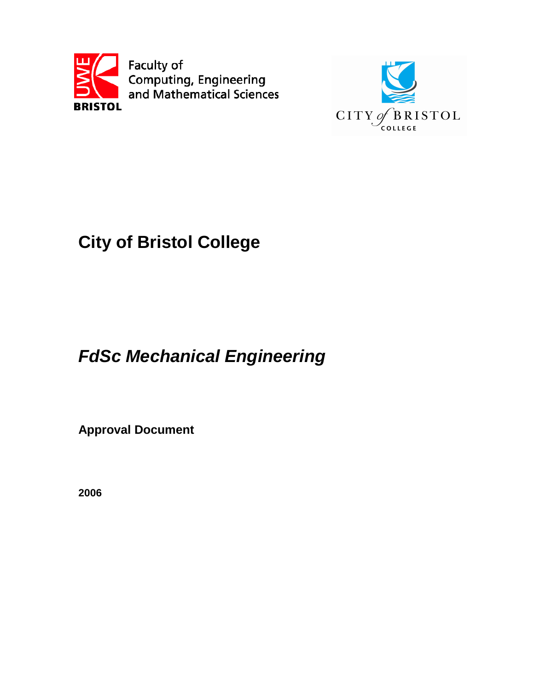



# **City of Bristol College**

# **FdSc Mechanical Engineering**

**Approval Document**

**2006**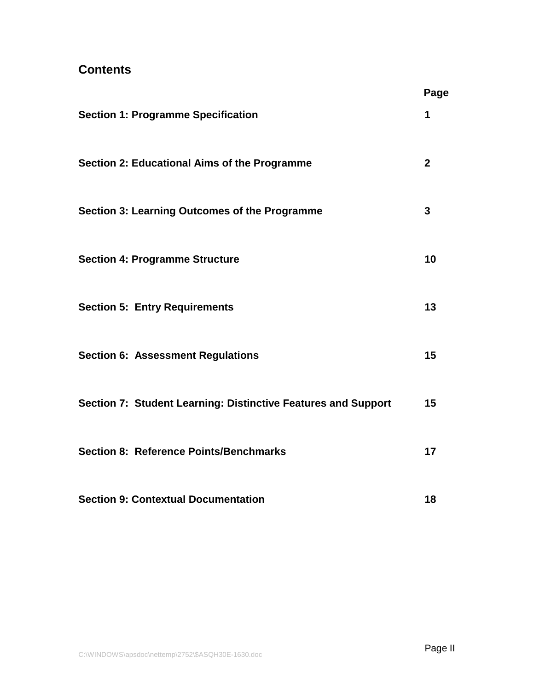# **Contents**

|                                                               | Page         |
|---------------------------------------------------------------|--------------|
| <b>Section 1: Programme Specification</b>                     | 1            |
| <b>Section 2: Educational Aims of the Programme</b>           | $\mathbf{2}$ |
| Section 3: Learning Outcomes of the Programme                 | 3            |
| <b>Section 4: Programme Structure</b>                         | 10           |
| <b>Section 5: Entry Requirements</b>                          | 13           |
| <b>Section 6: Assessment Regulations</b>                      | 15           |
| Section 7: Student Learning: Distinctive Features and Support | 15           |
| <b>Section 8: Reference Points/Benchmarks</b>                 | 17           |
| <b>Section 9: Contextual Documentation</b>                    | 18           |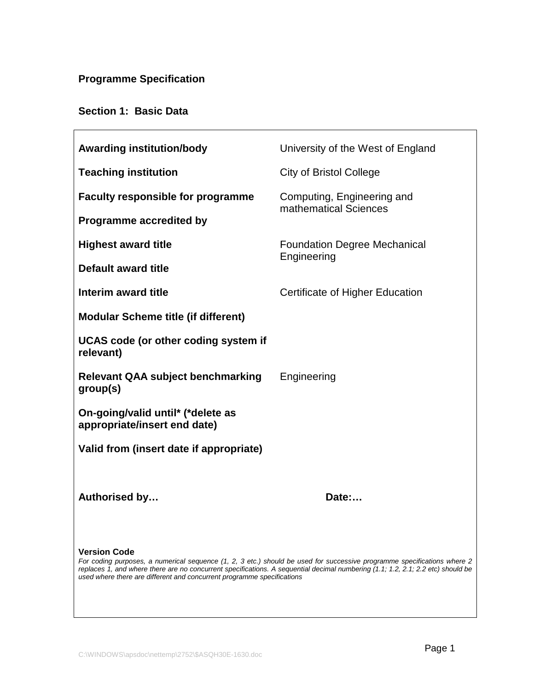# **Programme Specification**

# **Section 1: Basic Data**

| <b>Awarding institution/body</b>                                                                                                                                                                                                                                                                                                                            | University of the West of England                   |  |  |  |  |
|-------------------------------------------------------------------------------------------------------------------------------------------------------------------------------------------------------------------------------------------------------------------------------------------------------------------------------------------------------------|-----------------------------------------------------|--|--|--|--|
| <b>Teaching institution</b>                                                                                                                                                                                                                                                                                                                                 | <b>City of Bristol College</b>                      |  |  |  |  |
| <b>Faculty responsible for programme</b>                                                                                                                                                                                                                                                                                                                    | Computing, Engineering and<br>mathematical Sciences |  |  |  |  |
| <b>Programme accredited by</b>                                                                                                                                                                                                                                                                                                                              |                                                     |  |  |  |  |
| <b>Highest award title</b>                                                                                                                                                                                                                                                                                                                                  | <b>Foundation Degree Mechanical</b>                 |  |  |  |  |
| <b>Default award title</b>                                                                                                                                                                                                                                                                                                                                  | Engineering                                         |  |  |  |  |
| Interim award title                                                                                                                                                                                                                                                                                                                                         | Certificate of Higher Education                     |  |  |  |  |
| <b>Modular Scheme title (if different)</b>                                                                                                                                                                                                                                                                                                                  |                                                     |  |  |  |  |
| UCAS code (or other coding system if<br>relevant)                                                                                                                                                                                                                                                                                                           |                                                     |  |  |  |  |
| <b>Relevant QAA subject benchmarking</b><br>group(s)                                                                                                                                                                                                                                                                                                        | Engineering                                         |  |  |  |  |
| On-going/valid until* (*delete as<br>appropriate/insert end date)                                                                                                                                                                                                                                                                                           |                                                     |  |  |  |  |
| Valid from (insert date if appropriate)                                                                                                                                                                                                                                                                                                                     |                                                     |  |  |  |  |
|                                                                                                                                                                                                                                                                                                                                                             |                                                     |  |  |  |  |
| Authorised by                                                                                                                                                                                                                                                                                                                                               | Date:                                               |  |  |  |  |
|                                                                                                                                                                                                                                                                                                                                                             |                                                     |  |  |  |  |
| <b>Version Code</b><br>For coding purposes, a numerical sequence (1, 2, 3 etc.) should be used for successive programme specifications where 2<br>replaces 1, and where there are no concurrent specifications. A sequential decimal numbering (1.1; 1.2, 2.1; 2.2 etc) should be<br>used where there are different and concurrent programme specifications |                                                     |  |  |  |  |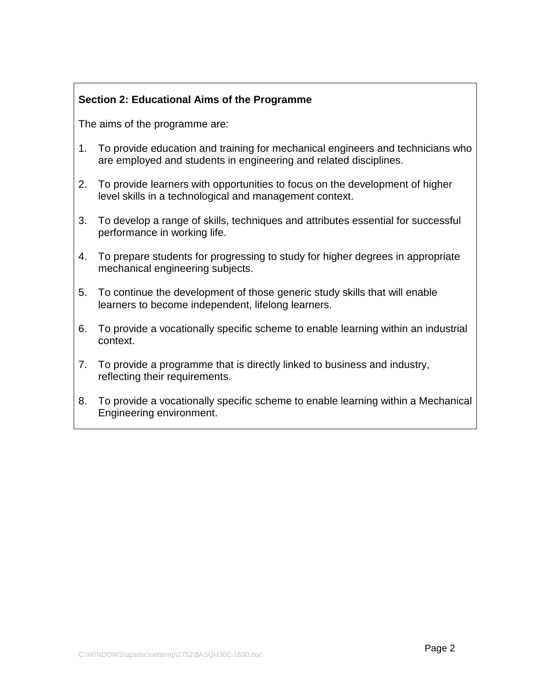# **Section 2: Educational Aims of the Programme**

The aims of the programme are:

- 1. To provide education and training for mechanical engineers and technicians who are employed and students in engineering and related disciplines.
- 2. To provide learners with opportunities to focus on the development of higher level skills in a technological and management context.
- 3. To develop a range of skills, techniques and attributes essential for successful performance in working life.
- 4. To prepare students for progressing to study for higher degrees in appropriate mechanical engineering subjects.
- 5. To continue the development of those generic study skills that will enable learners to become independent, lifelong learners.
- 6. To provide a vocationally specific scheme to enable learning within an industrial context.
- 7. To provide a programme that is directly linked to business and industry, reflecting their requirements.
- 8. To provide a vocationally specific scheme to enable learning within a Mechanical Engineering environment.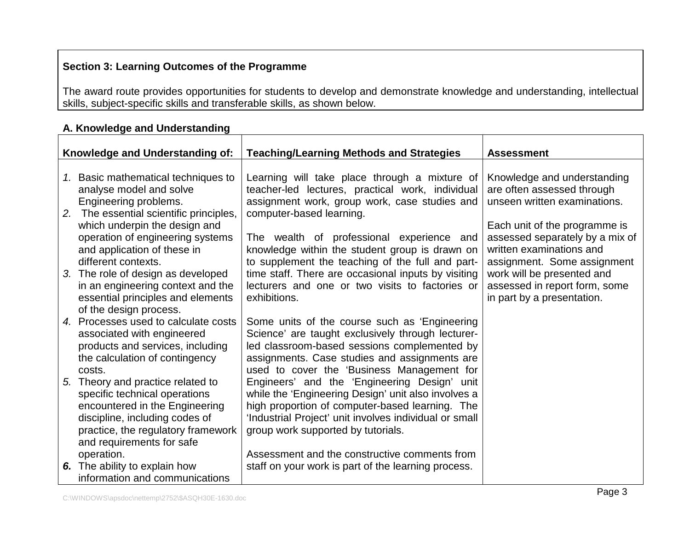# **Section 3: Learning Outcomes of the Programme**

The award route provides opportunities for students to develop and demonstrate knowledge and understanding, intellectual skills, subject-specific skills and transferable skills, as shown below.

|    | Knowledge and Understanding of:                                         | <b>Teaching/Learning Methods and Strategies</b>                                                        | <b>Assessment</b>                                           |
|----|-------------------------------------------------------------------------|--------------------------------------------------------------------------------------------------------|-------------------------------------------------------------|
|    | 1. Basic mathematical techniques to                                     | Learning will take place through a mixture of                                                          | Knowledge and understanding                                 |
|    | analyse model and solve                                                 | teacher-led lectures, practical work, individual                                                       | are often assessed through                                  |
|    | Engineering problems.<br>2. The essential scientific principles,        | assignment work, group work, case studies and<br>computer-based learning.                              | unseen written examinations.                                |
|    | which underpin the design and                                           |                                                                                                        | Each unit of the programme is                               |
|    | operation of engineering systems<br>and application of these in         | The wealth of professional experience and<br>knowledge within the student group is drawn on            | assessed separately by a mix of<br>written examinations and |
|    | different contexts.                                                     | to supplement the teaching of the full and part-                                                       | assignment. Some assignment                                 |
|    | 3. The role of design as developed<br>in an engineering context and the | time staff. There are occasional inputs by visiting<br>lecturers and one or two visits to factories or | work will be presented and<br>assessed in report form, some |
|    | essential principles and elements                                       | exhibitions.                                                                                           | in part by a presentation.                                  |
| 4. | of the design process.<br>Processes used to calculate costs             | Some units of the course such as 'Engineering                                                          |                                                             |
|    | associated with engineered                                              | Science' are taught exclusively through lecturer-                                                      |                                                             |
|    | products and services, including<br>the calculation of contingency      | led classroom-based sessions complemented by<br>assignments. Case studies and assignments are          |                                                             |
|    | costs.                                                                  | used to cover the 'Business Management for                                                             |                                                             |
| 5. | Theory and practice related to                                          | Engineers' and the 'Engineering Design' unit                                                           |                                                             |
|    | specific technical operations<br>encountered in the Engineering         | while the 'Engineering Design' unit also involves a<br>high proportion of computer-based learning. The |                                                             |
|    | discipline, including codes of                                          | 'Industrial Project' unit involves individual or small                                                 |                                                             |
|    | practice, the regulatory framework<br>and requirements for safe         | group work supported by tutorials.                                                                     |                                                             |
|    | operation.                                                              | Assessment and the constructive comments from                                                          |                                                             |
| 6. | The ability to explain how<br>information and communications            | staff on your work is part of the learning process.                                                    |                                                             |

### **A. Knowledge and Understanding**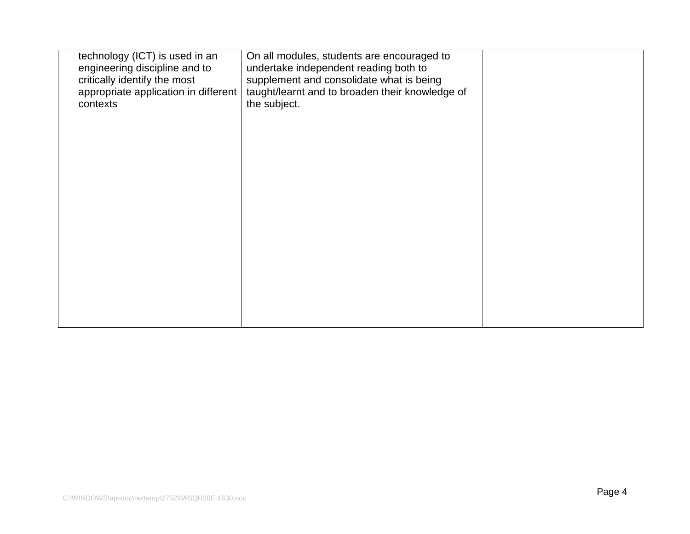| technology (ICT) is used in an<br>engineering discipline and to<br>critically identify the most<br>appropriate application in different<br>contexts | On all modules, students are encouraged to<br>undertake independent reading both to<br>supplement and consolidate what is being<br>taught/learnt and to broaden their knowledge of<br>the subject. |  |
|-----------------------------------------------------------------------------------------------------------------------------------------------------|----------------------------------------------------------------------------------------------------------------------------------------------------------------------------------------------------|--|
|                                                                                                                                                     |                                                                                                                                                                                                    |  |
|                                                                                                                                                     |                                                                                                                                                                                                    |  |
|                                                                                                                                                     |                                                                                                                                                                                                    |  |
|                                                                                                                                                     |                                                                                                                                                                                                    |  |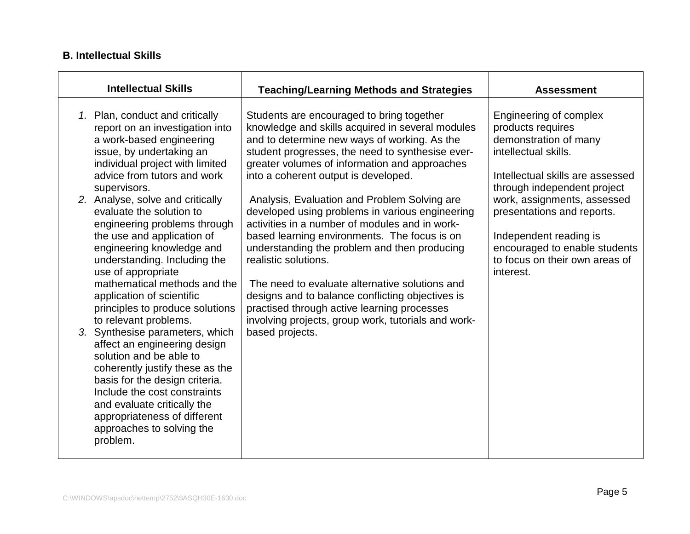# **B. Intellectual Skills**

| <b>Intellectual Skills</b>                                                                                                                                                                                                                                                                                                                                                                                                                                                                                                                                                                                                                        | <b>Teaching/Learning Methods and Strategies</b>                                                                                                                                                                                                                                                                                                                                                                                                                                                          | <b>Assessment</b>                                                                                                                                                      |
|---------------------------------------------------------------------------------------------------------------------------------------------------------------------------------------------------------------------------------------------------------------------------------------------------------------------------------------------------------------------------------------------------------------------------------------------------------------------------------------------------------------------------------------------------------------------------------------------------------------------------------------------------|----------------------------------------------------------------------------------------------------------------------------------------------------------------------------------------------------------------------------------------------------------------------------------------------------------------------------------------------------------------------------------------------------------------------------------------------------------------------------------------------------------|------------------------------------------------------------------------------------------------------------------------------------------------------------------------|
| 1. Plan, conduct and critically<br>report on an investigation into<br>a work-based engineering<br>issue, by undertaking an<br>individual project with limited<br>advice from tutors and work<br>supervisors.                                                                                                                                                                                                                                                                                                                                                                                                                                      | Students are encouraged to bring together<br>knowledge and skills acquired in several modules<br>and to determine new ways of working. As the<br>student progresses, the need to synthesise ever-<br>greater volumes of information and approaches<br>into a coherent output is developed.                                                                                                                                                                                                               | <b>Engineering of complex</b><br>products requires<br>demonstration of many<br>intellectual skills.<br>Intellectual skills are assessed<br>through independent project |
| 2. Analyse, solve and critically<br>evaluate the solution to<br>engineering problems through<br>the use and application of<br>engineering knowledge and<br>understanding. Including the<br>use of appropriate<br>mathematical methods and the<br>application of scientific<br>principles to produce solutions<br>to relevant problems.<br>3. Synthesise parameters, which<br>affect an engineering design<br>solution and be able to<br>coherently justify these as the<br>basis for the design criteria.<br>Include the cost constraints<br>and evaluate critically the<br>appropriateness of different<br>approaches to solving the<br>problem. | Analysis, Evaluation and Problem Solving are<br>developed using problems in various engineering<br>activities in a number of modules and in work-<br>based learning environments. The focus is on<br>understanding the problem and then producing<br>realistic solutions.<br>The need to evaluate alternative solutions and<br>designs and to balance conflicting objectives is<br>practised through active learning processes<br>involving projects, group work, tutorials and work-<br>based projects. | work, assignments, assessed<br>presentations and reports.<br>Independent reading is<br>encouraged to enable students<br>to focus on their own areas of<br>interest.    |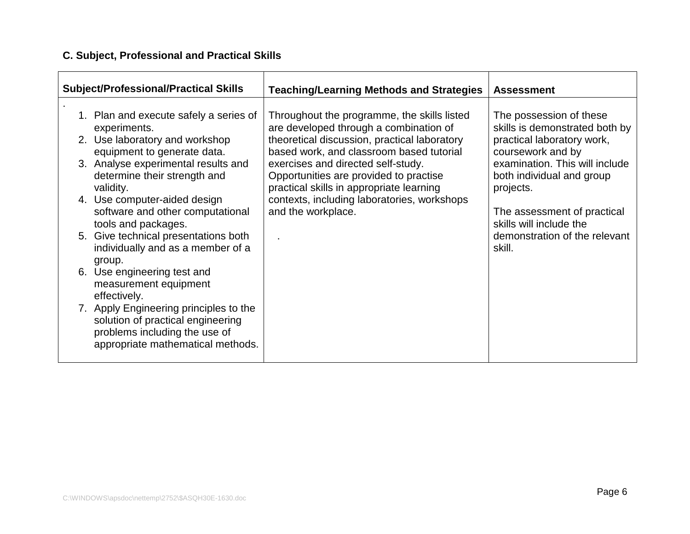# **C. Subject, Professional and Practical Skills**

| <b>Subject/Professional/Practical Skills</b>                                                                                                                                                                                                                                                                                                                                                                                                                                                                                                                                                                               | <b>Teaching/Learning Methods and Strategies</b>                                                                                                                                                                                                                                                                                                                                    | <b>Assessment</b>                                                                                                                                                                                                                                                                             |
|----------------------------------------------------------------------------------------------------------------------------------------------------------------------------------------------------------------------------------------------------------------------------------------------------------------------------------------------------------------------------------------------------------------------------------------------------------------------------------------------------------------------------------------------------------------------------------------------------------------------------|------------------------------------------------------------------------------------------------------------------------------------------------------------------------------------------------------------------------------------------------------------------------------------------------------------------------------------------------------------------------------------|-----------------------------------------------------------------------------------------------------------------------------------------------------------------------------------------------------------------------------------------------------------------------------------------------|
| 1. Plan and execute safely a series of<br>experiments.<br>2. Use laboratory and workshop<br>equipment to generate data.<br>3. Analyse experimental results and<br>determine their strength and<br>validity.<br>4. Use computer-aided design<br>software and other computational<br>tools and packages.<br>5. Give technical presentations both<br>individually and as a member of a<br>group.<br>6. Use engineering test and<br>measurement equipment<br>effectively.<br>7. Apply Engineering principles to the<br>solution of practical engineering<br>problems including the use of<br>appropriate mathematical methods. | Throughout the programme, the skills listed<br>are developed through a combination of<br>theoretical discussion, practical laboratory<br>based work, and classroom based tutorial<br>exercises and directed self-study.<br>Opportunities are provided to practise<br>practical skills in appropriate learning<br>contexts, including laboratories, workshops<br>and the workplace. | The possession of these<br>skills is demonstrated both by<br>practical laboratory work,<br>coursework and by<br>examination. This will include<br>both individual and group<br>projects.<br>The assessment of practical<br>skills will include the<br>demonstration of the relevant<br>skill. |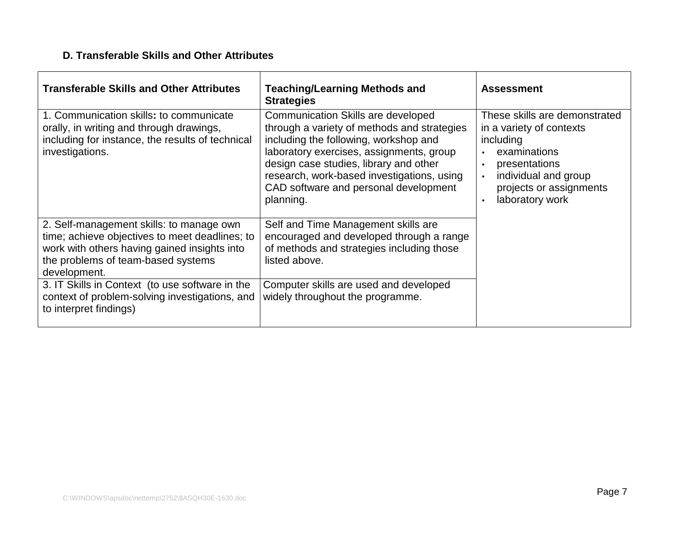# **D. Transferable Skills and Other Attributes**

| <b>Transferable Skills and Other Attributes</b>                                                                                                                                                  | <b>Teaching/Learning Methods and</b><br><b>Strategies</b>                                                                                                                                                                                                                                                            | <b>Assessment</b>                                                                                                                                                                                                    |
|--------------------------------------------------------------------------------------------------------------------------------------------------------------------------------------------------|----------------------------------------------------------------------------------------------------------------------------------------------------------------------------------------------------------------------------------------------------------------------------------------------------------------------|----------------------------------------------------------------------------------------------------------------------------------------------------------------------------------------------------------------------|
| 1. Communication skills: to communicate<br>orally, in writing and through drawings,<br>including for instance, the results of technical<br>investigations.                                       | Communication Skills are developed<br>through a variety of methods and strategies<br>including the following, workshop and<br>laboratory exercises, assignments, group<br>design case studies, library and other<br>research, work-based investigations, using<br>CAD software and personal development<br>planning. | These skills are demonstrated<br>in a variety of contexts<br>including<br>examinations<br>presentations<br>$\bullet$<br>individual and group<br>$\bullet$<br>projects or assignments<br>laboratory work<br>$\bullet$ |
| 2. Self-management skills: to manage own<br>time; achieve objectives to meet deadlines; to<br>work with others having gained insights into<br>the problems of team-based systems<br>development. | Self and Time Management skills are<br>encouraged and developed through a range<br>of methods and strategies including those<br>listed above.                                                                                                                                                                        |                                                                                                                                                                                                                      |
| 3. IT Skills in Context (to use software in the<br>context of problem-solving investigations, and<br>to interpret findings)                                                                      | Computer skills are used and developed<br>widely throughout the programme.                                                                                                                                                                                                                                           |                                                                                                                                                                                                                      |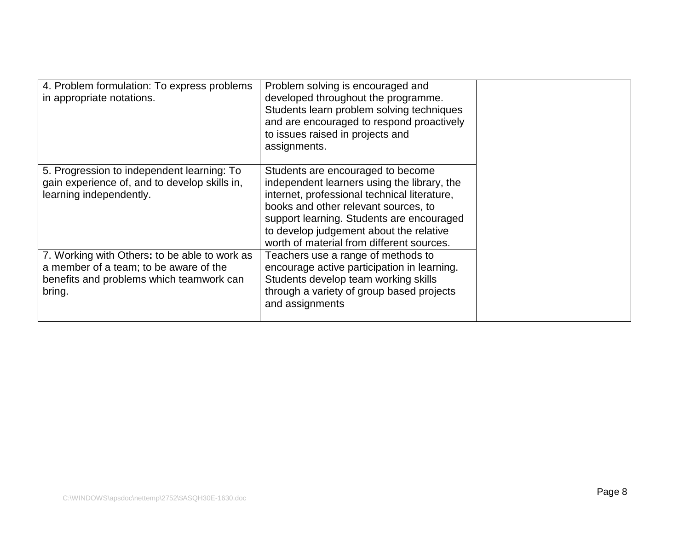| 4. Problem formulation: To express problems<br>in appropriate notations.                                                                      | Problem solving is encouraged and<br>developed throughout the programme.<br>Students learn problem solving techniques<br>and are encouraged to respond proactively<br>to issues raised in projects and<br>assignments.                                                                                        |  |
|-----------------------------------------------------------------------------------------------------------------------------------------------|---------------------------------------------------------------------------------------------------------------------------------------------------------------------------------------------------------------------------------------------------------------------------------------------------------------|--|
| 5. Progression to independent learning: To<br>gain experience of, and to develop skills in,<br>learning independently.                        | Students are encouraged to become<br>independent learners using the library, the<br>internet, professional technical literature,<br>books and other relevant sources, to<br>support learning. Students are encouraged<br>to develop judgement about the relative<br>worth of material from different sources. |  |
| 7. Working with Others: to be able to work as<br>a member of a team; to be aware of the<br>benefits and problems which teamwork can<br>bring. | Teachers use a range of methods to<br>encourage active participation in learning.<br>Students develop team working skills<br>through a variety of group based projects<br>and assignments                                                                                                                     |  |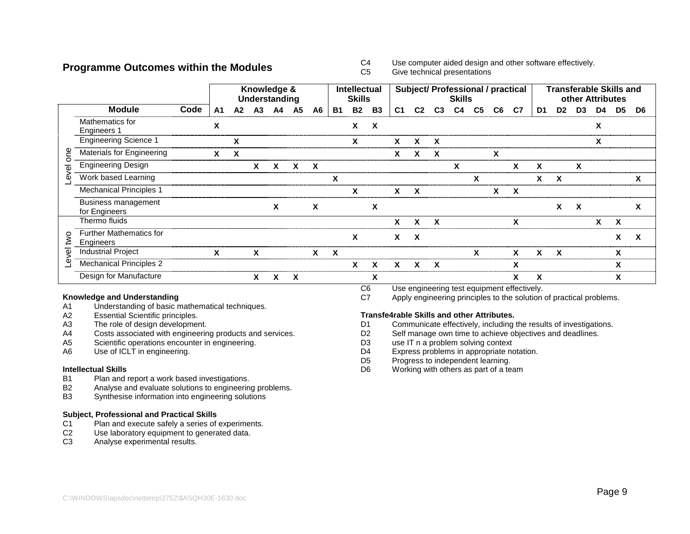#### **Programme Outcomes within the Modules**

 $C4$ Use computer aided design and other software effectively.

 $C<sub>5</sub>$ Give technical presentations

|                   |                                             |      |    |    | Knowledge &<br>Understanding |                |           |              |           | <b>Intellectual</b><br><b>Skills</b> |           |                |                           |                | <b>Skills</b>  |                |                | <b>Subject/ Professional / practical</b> |    | <b>Transferable Skills and</b> | other Attributes |    |                |    |
|-------------------|---------------------------------------------|------|----|----|------------------------------|----------------|-----------|--------------|-----------|--------------------------------------|-----------|----------------|---------------------------|----------------|----------------|----------------|----------------|------------------------------------------|----|--------------------------------|------------------|----|----------------|----|
|                   | <b>Module</b>                               | Code | A1 | A2 | A <sub>3</sub>               | A <sub>4</sub> | <b>A5</b> | A6           | <b>B1</b> | <b>B2</b>                            | <b>B3</b> | C <sub>1</sub> | C <sub>2</sub>            | C <sub>3</sub> | C <sub>4</sub> | C <sub>5</sub> | C <sub>6</sub> | C7                                       | D1 | D <sub>2</sub>                 | D <sub>3</sub>   | D4 | D <sub>5</sub> | D6 |
|                   | Mathematics for<br><b>Engineers 1</b>       |      | X  |    |                              |                |           |              |           | X                                    | X         |                |                           |                |                |                |                |                                          |    |                                |                  | X  |                |    |
|                   | <b>Engineering Science 1</b>                |      |    | X  |                              |                |           |              |           | X                                    |           | X              | X                         | X              |                |                |                |                                          |    |                                |                  | X  |                |    |
| ၔၟ<br>$\circ$     | Materials for Engineering                   |      | X  | X  |                              |                |           |              |           |                                      |           | X              | X                         | X              |                |                | X              |                                          |    |                                |                  |    |                |    |
| $\overline{\Phi}$ | <b>Engineering Design</b>                   |      |    |    | $\mathbf{x}$                 | $\mathsf{x}$   | X         | $\mathbf{x}$ |           |                                      |           |                |                           |                | X              |                |                | X                                        | X  |                                | X                |    |                |    |
| $\omega$          | Work based Learning                         |      |    |    |                              |                |           |              | X         |                                      |           |                |                           |                |                | X              |                |                                          | X  | X                              |                  |    |                | x  |
|                   | <b>Mechanical Principles 1</b>              |      |    |    |                              |                |           |              |           | X                                    |           | X              | $\boldsymbol{\mathsf{x}}$ |                |                |                | X              | X                                        |    |                                |                  |    |                |    |
|                   | Business management<br>for Engineers        |      |    |    |                              | X              |           | X            |           |                                      | X         |                |                           |                |                |                |                |                                          |    | X                              | X                |    |                | X  |
|                   | Thermo fluids                               |      |    |    |                              |                |           |              |           |                                      |           | X              | X                         | X              |                |                |                | X                                        |    |                                |                  | X  | $\mathbf{x}$   |    |
| ξ                 | <b>Further Mathematics for</b><br>Engineers |      |    |    |                              |                |           |              |           | X                                    |           | X              | X                         |                |                |                |                |                                          |    |                                |                  |    | X              | X  |
| ହି                | <b>Industrial Project</b>                   |      | X  |    | X                            |                |           | x            | X         |                                      |           |                |                           |                |                | X              |                | x                                        | χ  | X                              |                  |    | χ              |    |
| Φ                 | <b>Mechanical Principles 2</b>              |      |    |    |                              |                |           |              |           | X                                    | X         | X              | X                         | X              |                |                |                | X                                        |    |                                |                  |    | X              |    |
|                   | Design for Manufacture                      |      |    |    | X                            | χ              | X         |              |           |                                      | X         |                |                           |                |                |                |                |                                          | X  |                                |                  |    | X              |    |

#### **Knowledge and Understanding**

- A1Understanding of basic mathematical techniques.
- A2Essential Scientific principles.
- A3The role of design development.
- A4Costs associated with engineering products and services.
- A5Scientific operations encounter in engineering.
- A6Use of ICLT in engineering.

#### **Intellectual Skills**

- B1Plan and report <sup>a</sup> work based investigations.
- B2Analyse and evaluate solutions to engineering problems.
- B3Synthesise information into engineering solutions

#### **Subject, Professional and Practical Skills**

- $C<sub>1</sub>$ Plan and execute safely <sup>a</sup> series of experiments.
- $C<sub>2</sub>$ Use laboratory equipment to generated data.
- C3Analyse experimental results.
- $\overline{C6}$ Use engineering test equipment effectively.
- C7Apply engineering principles to the solution of practical problems.

#### **Transfe4rable Skills and other Attributes.**

- $D1$ Communicate effectively, including the results of investigations.
- D<sub>2</sub> Self manage own time to achieve objectives and deadlines.
- D<sub>3</sub> use IT <sup>n</sup> <sup>a</sup> problem solving context
- D<sub>4</sub> Express problems in appropriate notation.
- D<sub>5</sub> Progress to independent learning.
- D6Working with others as part of <sup>a</sup> team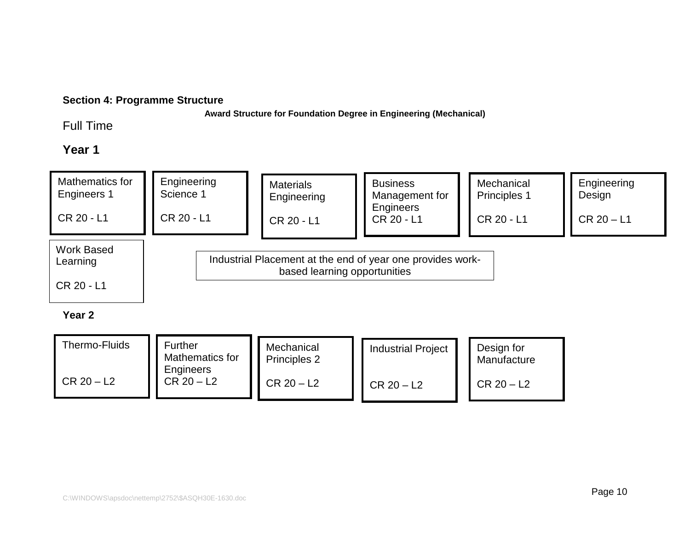# **Section 4: Programme Structure**

**Award Structure for Foundation Degree in Engineering (Mechanical)**

# Full Time

# **Year 1**



### **Year 2**

| Thermo-Fluids | <b>Further</b><br>Mathematics for<br>Engineers | Mechanical<br>Principles 2 | <b>Industrial Project</b> | Design for<br>Manufacture |
|---------------|------------------------------------------------|----------------------------|---------------------------|---------------------------|
| $CR 20 - L2$  | $CR 20 - L2$                                   | $CR 20 - L2$               | $CR 20 - L2$              | $CR 20 - L2$              |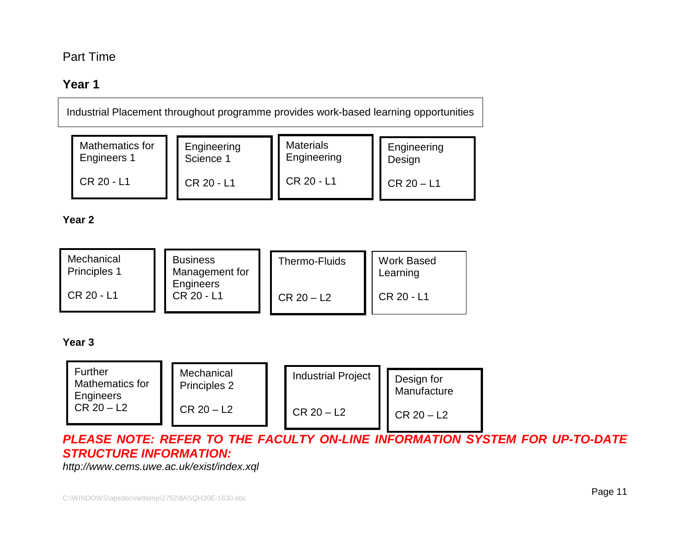# Part Time

# **Year 1**

Industrial Placement throughout programme provides work-based learning opportunities

| Mathematics for | Engineering | <b>Materials</b> | Engineering  |
|-----------------|-------------|------------------|--------------|
| Engineers 1     | Science 1   | Engineering      | Design       |
| CR 20 - L1      | CR 20 - L1  | CR 20 - L1       | $CR 20 - L1$ |

**Year 2**

| Mechanical        | <b>Business</b>         | Thermo-Fluids | <b>Work Based</b> |
|-------------------|-------------------------|---------------|-------------------|
| Principles 1      | Management for          |               | Learning          |
| <b>CR 20 - L1</b> | Engineers<br>CR 20 - L1 | $CR 20 - L2$  | CR 20 - L1        |

### **Year 3**

| <b>Further</b><br>Mathematics for<br>Engineers | Mechanical<br>Principles 2 | <b>Industrial Project</b> | Design for<br>Manufacture |
|------------------------------------------------|----------------------------|---------------------------|---------------------------|
| $CR 20 - L2$                                   | $CR 20 - L2$               | $CR 20 - L2$              | $CR 20 - L2$              |

**PLEASE NOTE: REFER TO THE FACULTY ON-LINE INFORMATION SYSTEM FOR UP-TO-DATE STRUCTURE INFORMATION:**

http://www.cems.uwe.ac.uk/exist/index.xql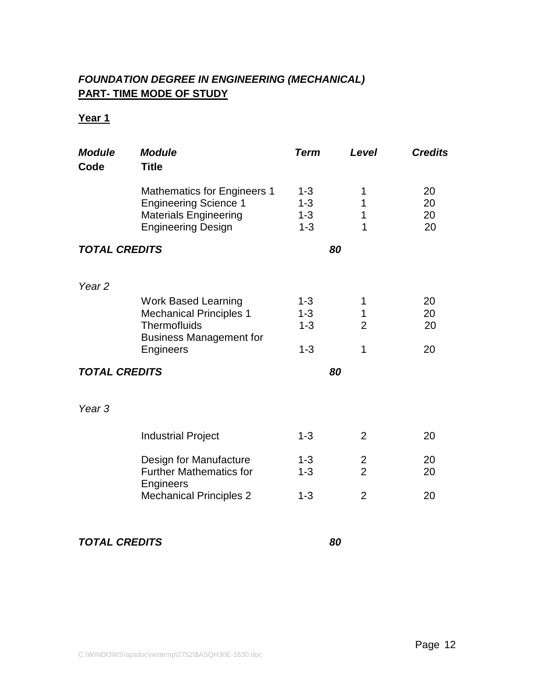# **FOUNDATION DEGREE IN ENGINEERING (MECHANICAL) PART- TIME MODE OF STUDY**

# **Year 1**

| <b>Module</b><br>Code | <b>Module</b><br><b>Title</b>                                                                                                   | <b>Term</b>                              | Level                            | <b>Credits</b>       |
|-----------------------|---------------------------------------------------------------------------------------------------------------------------------|------------------------------------------|----------------------------------|----------------------|
|                       | <b>Mathematics for Engineers 1</b><br><b>Engineering Science 1</b><br><b>Materials Engineering</b><br><b>Engineering Design</b> | $1 - 3$<br>$1 - 3$<br>$1 - 3$<br>$1 - 3$ | 1<br>1<br>1<br>1                 | 20<br>20<br>20<br>20 |
| <b>TOTAL CREDITS</b>  |                                                                                                                                 |                                          | 80                               |                      |
| Year <sub>2</sub>     |                                                                                                                                 |                                          |                                  |                      |
|                       | <b>Work Based Learning</b><br><b>Mechanical Principles 1</b><br>Thermofluids<br><b>Business Management for</b>                  | $1 - 3$<br>$1 - 3$<br>$1 - 3$            | 1<br>1<br>$\overline{2}$         | 20<br>20<br>20       |
|                       | Engineers                                                                                                                       | $1 - 3$                                  | 1                                | 20                   |
| <b>TOTAL CREDITS</b>  |                                                                                                                                 |                                          | 80                               |                      |
| Year <sub>3</sub>     |                                                                                                                                 |                                          |                                  |                      |
|                       | <b>Industrial Project</b>                                                                                                       | $1 - 3$                                  | $\overline{2}$                   | 20                   |
|                       | Design for Manufacture<br><b>Further Mathematics for</b><br>Engineers                                                           | $1 - 3$<br>$1 - 3$                       | $\overline{2}$<br>$\overline{2}$ | 20<br>20             |
|                       | <b>Mechanical Principles 2</b>                                                                                                  | $1 - 3$                                  | $\overline{2}$                   | 20                   |

# **TOTAL CREDITS 80**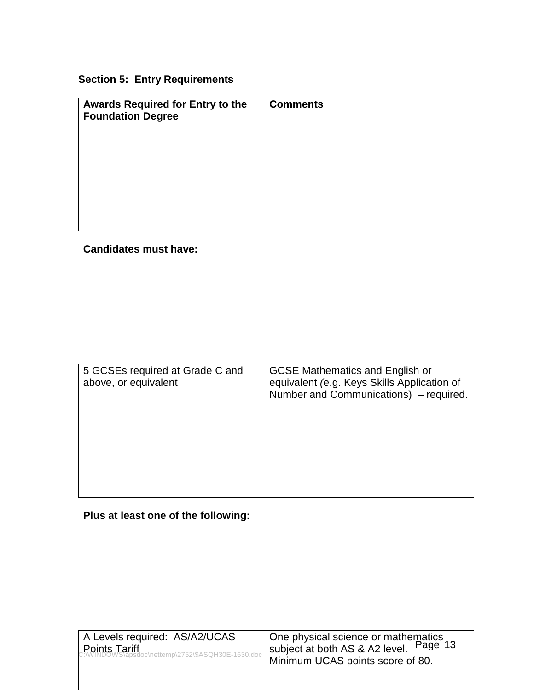# **Section 5: Entry Requirements**

| Awards Required for Entry to the<br><b>Foundation Degree</b> | <b>Comments</b> |
|--------------------------------------------------------------|-----------------|
|                                                              |                 |
|                                                              |                 |
|                                                              |                 |
|                                                              |                 |

# **Candidates must have:**

| 5 GCSEs required at Grade C and<br>above, or equivalent | <b>GCSE Mathematics and English or</b><br>equivalent (e.g. Keys Skills Application of<br>Number and Communications) – required. |
|---------------------------------------------------------|---------------------------------------------------------------------------------------------------------------------------------|
|                                                         |                                                                                                                                 |

**Plus at least one of the following:**

| A Levels required: AS/A2/UCAS                                                     | One physical science or mathematics<br>eubiect at both $\Delta$ S & $\Delta$ 2 level Page 13 |
|-----------------------------------------------------------------------------------|----------------------------------------------------------------------------------------------|
| Points Tariff<br>C:\WINDOWS\apsdoc\nettemp\2752\\$ASQH30E-1630.doc   <sup>?</sup> | subject at both AS & A2 level.<br>Minimum UCAS points score of 80.                           |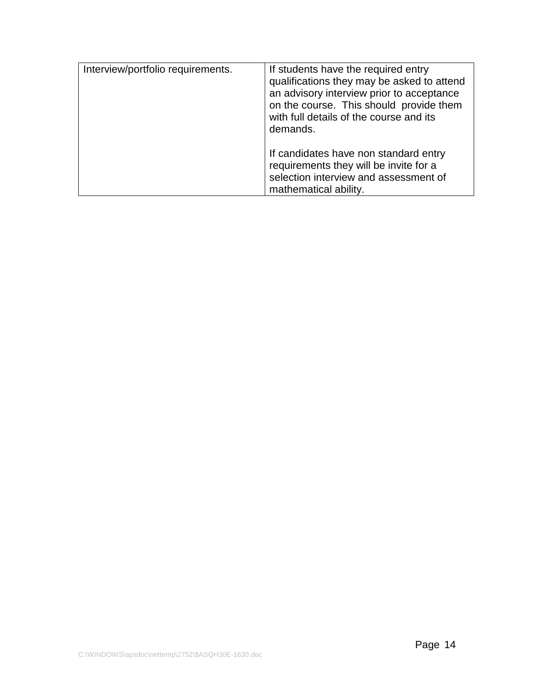| Interview/portfolio requirements. | If students have the required entry<br>qualifications they may be asked to attend<br>an advisory interview prior to acceptance<br>on the course. This should provide them<br>with full details of the course and its<br>demands. |
|-----------------------------------|----------------------------------------------------------------------------------------------------------------------------------------------------------------------------------------------------------------------------------|
|                                   | If candidates have non standard entry<br>requirements they will be invite for a<br>selection interview and assessment of<br>mathematical ability.                                                                                |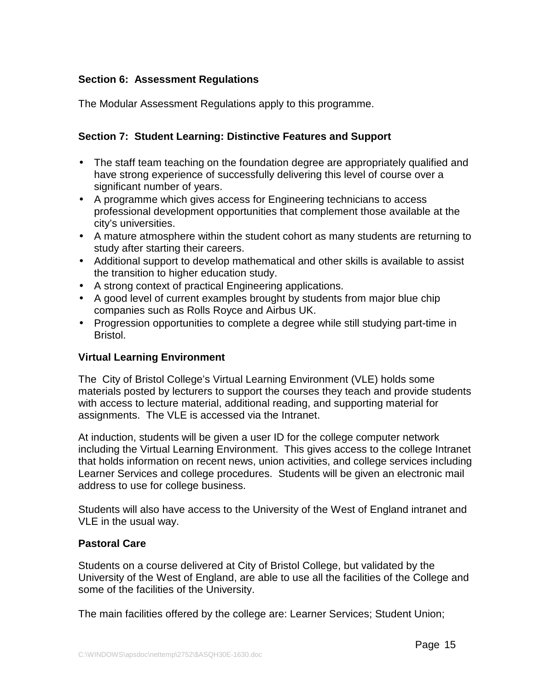# **Section 6: Assessment Regulations**

The Modular Assessment Regulations apply to this programme.

# **Section 7: Student Learning: Distinctive Features and Support**

- The staff team teaching on the foundation degree are appropriately qualified and have strong experience of successfully delivering this level of course over a significant number of years.
- A programme which gives access for Engineering technicians to access professional development opportunities that complement those available at the city's universities.
- A mature atmosphere within the student cohort as many students are returning to study after starting their careers.
- Additional support to develop mathematical and other skills is available to assist the transition to higher education study.
- A strong context of practical Engineering applications.
- A good level of current examples brought by students from major blue chip companies such as Rolls Royce and Airbus UK.
- Progression opportunities to complete a degree while still studying part-time in Bristol.

## **Virtual Learning Environment**

The City of Bristol College's Virtual Learning Environment (VLE) holds some materials posted by lecturers to support the courses they teach and provide students with access to lecture material, additional reading, and supporting material for assignments. The VLE is accessed via the Intranet.

At induction, students will be given a user ID for the college computer network including the Virtual Learning Environment. This gives access to the college Intranet that holds information on recent news, union activities, and college services including Learner Services and college procedures. Students will be given an electronic mail address to use for college business.

Students will also have access to the University of the West of England intranet and VLE in the usual way.

## **Pastoral Care**

Students on a course delivered at City of Bristol College, but validated by the University of the West of England, are able to use all the facilities of the College and some of the facilities of the University.

The main facilities offered by the college are: Learner Services; Student Union;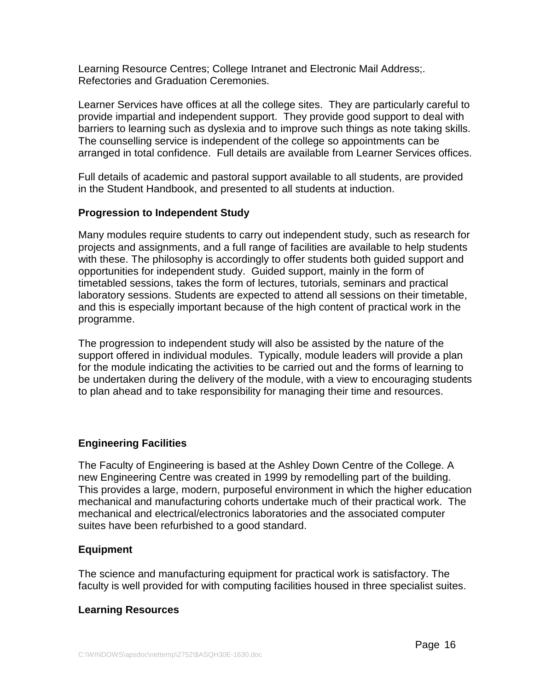Learning Resource Centres; College Intranet and Electronic Mail Address;. Refectories and Graduation Ceremonies.

Learner Services have offices at all the college sites. They are particularly careful to provide impartial and independent support. They provide good support to deal with barriers to learning such as dyslexia and to improve such things as note taking skills. The counselling service is independent of the college so appointments can be arranged in total confidence. Full details are available from Learner Services offices.

Full details of academic and pastoral support available to all students, are provided in the Student Handbook, and presented to all students at induction.

## **Progression to Independent Study**

Many modules require students to carry out independent study, such as research for projects and assignments, and a full range of facilities are available to help students with these. The philosophy is accordingly to offer students both guided support and opportunities for independent study. Guided support, mainly in the form of timetabled sessions, takes the form of lectures, tutorials, seminars and practical laboratory sessions. Students are expected to attend all sessions on their timetable, and this is especially important because of the high content of practical work in the programme.

The progression to independent study will also be assisted by the nature of the support offered in individual modules. Typically, module leaders will provide a plan for the module indicating the activities to be carried out and the forms of learning to be undertaken during the delivery of the module, with a view to encouraging students to plan ahead and to take responsibility for managing their time and resources.

# **Engineering Facilities**

The Faculty of Engineering is based at the Ashley Down Centre of the College. A new Engineering Centre was created in 1999 by remodelling part of the building. This provides a large, modern, purposeful environment in which the higher education mechanical and manufacturing cohorts undertake much of their practical work. The mechanical and electrical/electronics laboratories and the associated computer suites have been refurbished to a good standard.

## **Equipment**

The science and manufacturing equipment for practical work is satisfactory. The faculty is well provided for with computing facilities housed in three specialist suites.

## **Learning Resources**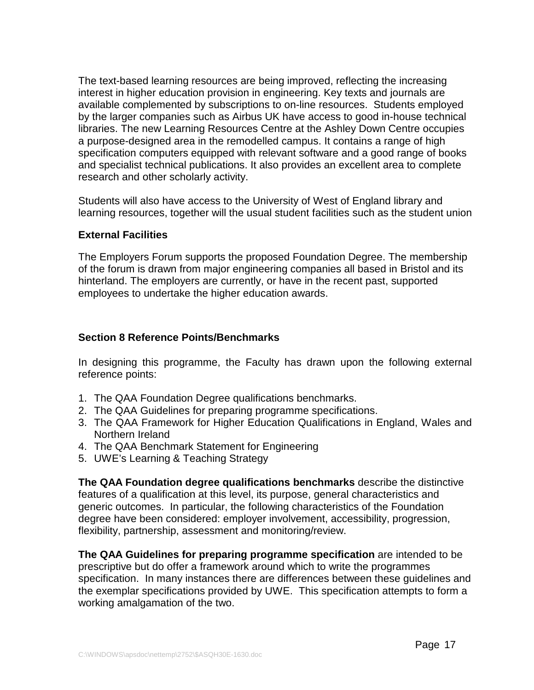The text-based learning resources are being improved, reflecting the increasing interest in higher education provision in engineering. Key texts and journals are available complemented by subscriptions to on-line resources. Students employed by the larger companies such as Airbus UK have access to good in-house technical libraries. The new Learning Resources Centre at the Ashley Down Centre occupies a purpose-designed area in the remodelled campus. It contains a range of high specification computers equipped with relevant software and a good range of books and specialist technical publications. It also provides an excellent area to complete research and other scholarly activity.

Students will also have access to the University of West of England library and learning resources, together will the usual student facilities such as the student union

# **External Facilities**

The Employers Forum supports the proposed Foundation Degree. The membership of the forum is drawn from major engineering companies all based in Bristol and its hinterland. The employers are currently, or have in the recent past, supported employees to undertake the higher education awards.

# **Section 8 Reference Points/Benchmarks**

In designing this programme, the Faculty has drawn upon the following external reference points:

- 1. The QAA Foundation Degree qualifications benchmarks.
- 2. The QAA Guidelines for preparing programme specifications.
- 3. The QAA Framework for Higher Education Qualifications in England, Wales and Northern Ireland
- 4. The QAA Benchmark Statement for Engineering
- 5. UWE's Learning & Teaching Strategy

**The QAA Foundation degree qualifications benchmarks** describe the distinctive features of a qualification at this level, its purpose, general characteristics and generic outcomes. In particular, the following characteristics of the Foundation degree have been considered: employer involvement, accessibility, progression, flexibility, partnership, assessment and monitoring/review.

**The QAA Guidelines for preparing programme specification** are intended to be prescriptive but do offer a framework around which to write the programmes specification. In many instances there are differences between these guidelines and the exemplar specifications provided by UWE. This specification attempts to form a working amalgamation of the two.